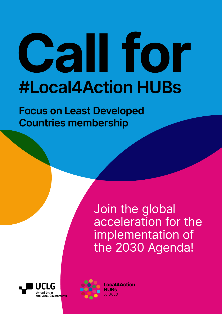# **Call for #Local4Action HUBs**

**Focus on Least Developed Countries membership**

> Join the global acceleration for the implementation of the 2030 Agenda!



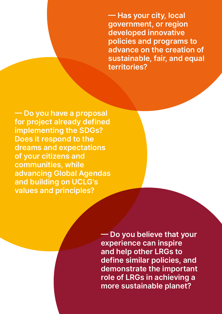**— Has your city, local government, or region developed innovative policies and programs to advance on the creation of sustainable, fair, and equal territories?**

**— Do you have a proposal for project already defined implementing the SDGs? Does it respond to the dreams and expectations of your citizens and communities, while advancing Global Agendas and building on UCLG's values and principles?**

> **— Do you believe that your experience can inspire and help other LRGs to define similar policies, and demonstrate the important role of LRGs in achieving a more sustainable planet?**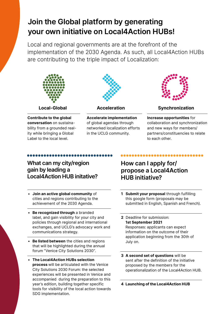# **Join the Global platform by generating your own initiative on Local4Action HUBs!**

Local and regional governments are at the forefront of the implementation of the 2030 Agenda. As such, all Local4Action HUBs are contributing to the triple impact of Localization:



**Contribute to the global conversation** on sustainability from a grounded reality while bringing a Global Label to the local level.



**Accelerate implementation** of global agendas through networked localization efforts in the UCLG community.



**Local-Global Acceleration Synchronization**

**Increase opportunities** for collaboration and synchronization and new ways for members/ partners/constituencies to relate to each other.

### **What can my city/region gain by leading a Local4Action HUB initative?**

- **Join an active global community** of cities and regions contributing to the achievement of the 2030 Agenda.
- **Be recognized through** a branded label, and gain visibility for your city and policies through regional and international exchanges, and UCLG's advocacy work and communications strategy.
- **Be listed between** the cities and regions that will be highlighted during the annual forum "Venice City Solutions 2030".
- **The Local4Action HUBs selection process** will be articulated with the Venice City Solutions 2030 Forum: the selected experiences will be presented in Venice and accompanied during the preparation to this year's edition, building together specific tools for visibility of the local action towards SDG implementation.

## **How can I apply for/ propose a Local4Action HUB initiative?**

- **1 Submit your proposal** through fulfilling this google form (proposals may be submitted in English, Spanish and French).
- **2** Deadline for submission: **1st September 2021** Responses: applicants can expect information on the outcome of their application beginning from the 30th of July on.
- **3 A second set of questions** will be sent after the definition of the initiative proposed by the members for the operationalization of the Local4Action HUB.

**4 Launching of the Local4Action HUB**